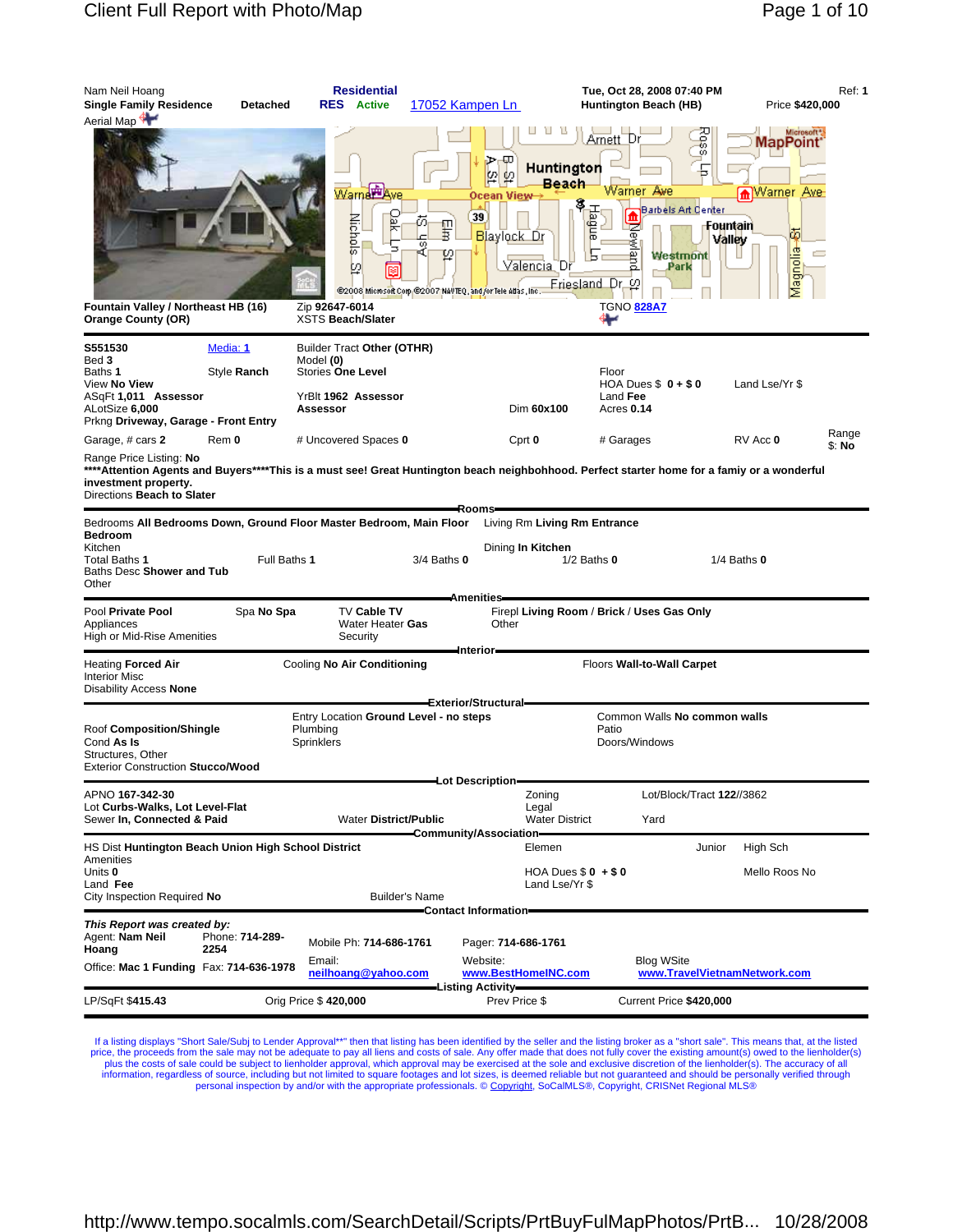| Nam Neil Hoang<br><b>Single Family Residence</b><br>Aerial Map                                                                                                                                                               | Detached                | <b>Residential</b><br><b>RES</b> Active                                                                | 17052 Kampen Ln                                                                                                                 |                                                                      | Tue, Oct 28, 2008 07:40 PM<br>Huntington Beach (HB)                                                                              |                                 | Price \$420,000                                                          | <b>Ref: 1</b>   |
|------------------------------------------------------------------------------------------------------------------------------------------------------------------------------------------------------------------------------|-------------------------|--------------------------------------------------------------------------------------------------------|---------------------------------------------------------------------------------------------------------------------------------|----------------------------------------------------------------------|----------------------------------------------------------------------------------------------------------------------------------|---------------------------------|--------------------------------------------------------------------------|-----------------|
| Fountain Valley / Northeast HB (16)<br><b>Orange County (OR)</b>                                                                                                                                                             |                         | Warner Ave<br>ŠК<br><b>Nichols</b><br>m<br>Zip 92647-6014<br><b>XSTS Beach/Slater</b>                  | ķβ<br>₽<br>Ocean View-<br>39<br>Ō,<br>Ţ<br>Blaylock Dr<br>ø<br>Q<br>@2008 Microsoft Corp.@2007 NAVTEQ, and /or Tele Atlas, Inc. | Huntington<br>Beach<br>Hague<br>Valencia Dr<br>Friesland Dr          | Arnett Dr<br>Warner Ave<br><b>Barbels Art Center</b><br>m<br>Newl<br>g<br>Westmont<br>Park<br>$\omega$<br><b>TGNO 828A7</b><br>₩ | Ross<br>侖<br>Fountain<br>Valley | Microsoft",<br><b>MapPoint</b><br>Warner<br><b>Ave</b><br>σī<br>Magnolia |                 |
| S551530<br>Bed 3<br>Baths 1<br>View No View<br>ASqFt 1,011 Assessor<br>ALotSize 6,000<br>Prkng Driveway, Garage - Front Entry                                                                                                | Media: 1<br>Style Ranch | Builder Tract Other (OTHR)<br>Model (0)<br><b>Stories One Level</b><br>YrBlt 1962 Assessor<br>Assessor |                                                                                                                                 | Dim 60x100                                                           | Floor<br>HOA Dues $$0 + $0$<br>Land Fee<br>Acres 0.14                                                                            |                                 | Land Lse/Yr \$                                                           |                 |
| Garage, # cars 2                                                                                                                                                                                                             | Rem 0                   | # Uncovered Spaces 0                                                                                   |                                                                                                                                 | Cprt 0                                                               | # Garages                                                                                                                        |                                 | RV Acc 0                                                                 | Range<br>\$: No |
| Range Price Listing: No<br>****Attention Agents and Buyers****This is a must see! Great Huntington beach neighbohhood. Perfect starter home for a famiy or a wonderful<br>investment property.<br>Directions Beach to Slater |                         |                                                                                                        | -Rooms                                                                                                                          |                                                                      |                                                                                                                                  |                                 |                                                                          |                 |
| Bedrooms All Bedrooms Down, Ground Floor Master Bedroom, Main Floor<br><b>Bedroom</b><br>Kitchen<br>Total Baths 1<br>Baths Desc Shower and Tub<br>Other                                                                      | Full Baths 1            |                                                                                                        | $3/4$ Baths $0$                                                                                                                 | Living Rm Living Rm Entrance<br>Dining In Kitchen<br>$1/2$ Baths $0$ |                                                                                                                                  | $1/4$ Baths $0$                 |                                                                          |                 |
| Pool Private Pool<br>Appliances<br>High or Mid-Rise Amenities                                                                                                                                                                | Spa No Spa              | <b>TV Cable TV</b><br>Water Heater Gas<br>Security                                                     | <b>Amenities</b><br>Other                                                                                                       |                                                                      | Firepl Living Room / Brick / Uses Gas Only                                                                                       |                                 |                                                                          |                 |
| <b>Heating Forced Air</b><br><b>Interior Misc</b><br>Disability Access None                                                                                                                                                  |                         | Cooling No Air Conditioning                                                                            | Interior-                                                                                                                       |                                                                      | Floors Wall-to-Wall Carpet                                                                                                       |                                 |                                                                          |                 |
| Roof Composition/Shingle<br>Cond As Is<br>Structures, Other<br><b>Exterior Construction Stucco/Wood</b>                                                                                                                      |                         | Entry Location Ground Level - no steps<br>Plumbing<br>Sprinklers                                       | Exterior/Structural=                                                                                                            |                                                                      | Common Walls No common walls<br>Patio<br>Doors/Windows                                                                           |                                 |                                                                          |                 |
| APNO 167-342-30<br>Lot Curbs-Walks, Lot Level-Flat<br>Sewer In, Connected & Paid                                                                                                                                             |                         | <b>Water District/Public</b>                                                                           | Lot Description=                                                                                                                | Zoning<br>Legal<br><b>Water District</b>                             | Lot/Block/Tract 122//3862<br>Yard                                                                                                |                                 |                                                                          |                 |
| HS Dist Huntington Beach Union High School District                                                                                                                                                                          |                         |                                                                                                        | -Community/Association-                                                                                                         | Elemen                                                               |                                                                                                                                  | Junior                          | High Sch                                                                 |                 |
| Amenities<br>Units 0<br>Land Fee<br>City Inspection Required No                                                                                                                                                              |                         |                                                                                                        | <b>Builder's Name</b>                                                                                                           | HOA Dues $$0 + $0$<br>Land Lse/Yr \$                                 |                                                                                                                                  |                                 | Mello Roos No                                                            |                 |
| This Report was created by:<br>Agent: Nam Neil<br>Hoang<br>Office: Mac 1 Funding Fax: 714-636-1978                                                                                                                           | Phone: 714-289-<br>2254 | Mobile Ph: 714-686-1761<br>Email:<br>neilhoang@yahoo.com                                               | Contact Information=<br>Pager: 714-686-1761<br>Website:                                                                         | www.BestHomeINC.com                                                  | <b>Blog WSite</b>                                                                                                                |                                 | www.TravelVietnamNetwork.com                                             |                 |
|                                                                                                                                                                                                                              |                         |                                                                                                        | Listing Activity-                                                                                                               |                                                                      |                                                                                                                                  |                                 |                                                                          |                 |
| LP/SqFt \$415.43                                                                                                                                                                                                             |                         | Orig Price \$420,000                                                                                   | Prev Price \$                                                                                                                   |                                                                      | Current Price \$420,000                                                                                                          |                                 |                                                                          |                 |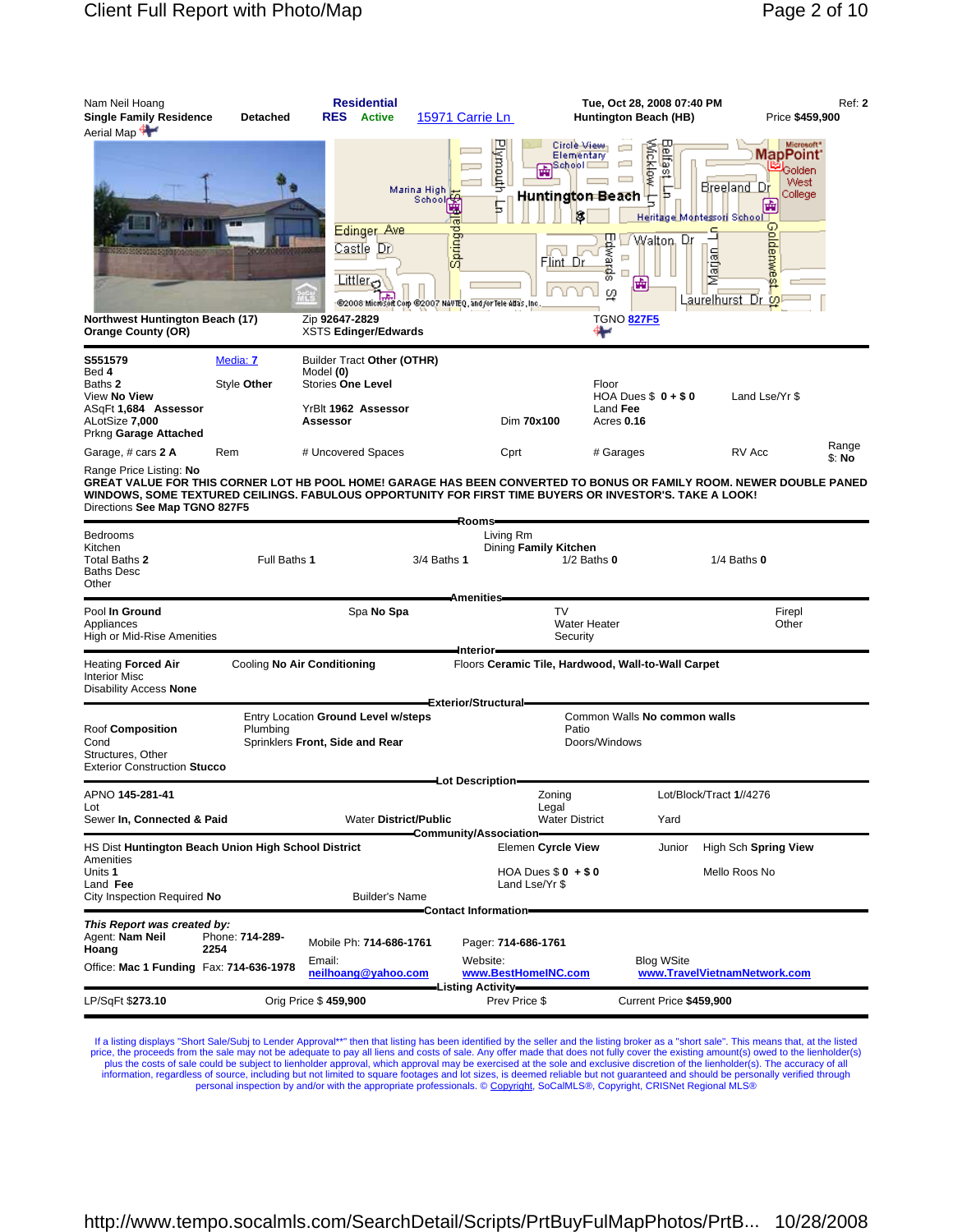| Plymouth<br>Microsoft*<br>Circle View<br><u>Jeffast L</u><br>Mcklow<br><b>MapPoint</b><br>Elementary<br>)School⊏<br>≝ <sup>i</sup> Golden<br>West<br>Breeland Dr<br>Marina High<br>College<br>Huntington Beach<br>с<br>School<br>歯<br>Heritage Montessori Schoo<br><b>Goldemwe</b><br>Edinger Ave<br>ರ<br>Spring<br>Ефма<br>Walton, Dr<br>Castle Dr<br>Marjan<br>口<br>Flint Dr<br>ē<br>$\Box$<br>ò,<br>Littler <sub>O</sub><br>(±<br>9<br>'n.<br>Laurelhurst Dr<br>Ø<br>@2008 Microsoft Corp @2007 NAVTEQ, and/or Tele Atlas, Inc.<br>Northwest Huntington Beach (17)<br>Zip 92647-2829<br><b>TGNO 827F5</b><br><b>Orange County (OR)</b><br><b>XSTS Edinger/Edwards</b><br>⊷<br>S551579<br>Media: 7<br>Builder Tract Other (OTHR)<br>Model (0)<br>Bed 4<br><b>Stories One Level</b><br>Baths <b>2</b><br>Style Other<br>Floor<br>HOA Dues $$0 + $0$<br>View <b>No View</b><br>Land Lse/Yr \$<br>ASqFt 1,684 Assessor<br>Land Fee<br>YrBlt 1962 Assessor<br>Dim 70x100<br>ALotSize 7,000<br>Assessor<br>Acres 0.16<br>Prkng Garage Attached<br>Range<br># Uncovered Spaces<br>RV Acc<br>Garage, # cars <b>2 A</b><br>Rem<br>Cprt<br># Garages<br>\$: No<br>Range Price Listing: No<br>GREAT VALUE FOR THIS CORNER LOT HB POOL HOME! GARAGE HAS BEEN CONVERTED TO BONUS OR FAMILY ROOM. NEWER DOUBLE PANED<br>WINDOWS, SOME TEXTURED CEILINGS. FABULOUS OPPORTUNITY FOR FIRST TIME BUYERS OR INVESTOR'S. TAKE A LOOK!<br>Directions See Map TGNO 827F5<br>Rooms=<br>Living Rm<br>Dining Family Kitchen<br>Kitchen<br>Total Baths 2<br>Full Baths 1<br>3/4 Baths 1<br>$1/2$ Baths $0$<br>$1/4$ Baths $0$<br>Baths Desc<br>Other<br><b>Amenities</b><br><b>TV</b><br>Pool In Ground<br>Spa No Spa<br>Firepl<br><b>Water Heater</b><br>Other<br>Appliances<br>High or Mid-Rise Amenities<br>Security<br>-Interior-<br>Cooling No Air Conditioning<br>Floors Ceramic Tile, Hardwood, Wall-to-Wall Carpet<br>Heating <b>Forced Air</b><br>Interior Misc<br>Disability Access None<br>Exterior/Structural=<br>Entry Location Ground Level w/steps<br>Common Walls No common walls<br>Roof Composition<br>Plumbing<br>Patio<br>Sprinklers Front, Side and Rear<br>Doors/Windows<br>Structures, Other<br>Exterior Construction Stucco<br>Lot Description<br>APNO <b>145-281-41</b><br>Lot/Block/Tract 1//4276<br>Zoning<br>Legal<br>Lot<br><b>Water District/Public</b><br>Sewer In, Connected & Paid<br><b>Water District</b><br>Yard<br>Community/Association=<br>HS Dist Huntington Beach Union High School District<br>High Sch Spring View<br>Elemen Cyrcle View<br>Junior<br>Amenities<br>HOA Dues $$0 + $0$<br>Mello Roos No<br>Land Fee<br>Land Lse/Yr \$<br>City Inspection Required No<br><b>Builder's Name</b><br>Contact Information-<br>This Report was created by:<br>Agent: <b>Nam Neil</b><br>Phone: 714-289-<br>Mobile Ph: 714-686-1761<br>Pager: 714-686-1761<br>2254<br>Hoang<br>Website:<br><b>Blog WSite</b><br>Email:<br>Office: Mac 1 Funding Fax: 714-636-1978<br>neilhoang@yahoo.com<br>www.BestHomeINC.com<br>www.TravelVietnamNetwork.com<br>-Listing Activity-<br>Orig Price \$459,900<br>LP/SqFt \$273.10<br>Prev Price \$<br>Current Price \$459,900 | Nam Neil Hoang<br><b>Single Family Residence</b><br>Aerial Map | <b>Detached</b> | <b>Residential</b><br><b>RES</b><br><b>Active</b> | 15971 Carrie Ln | Tue, Oct 28, 2008 07:40 PM<br>Huntington Beach (HB) | <b>Ref: 2</b><br>Price \$459,900 |
|---------------------------------------------------------------------------------------------------------------------------------------------------------------------------------------------------------------------------------------------------------------------------------------------------------------------------------------------------------------------------------------------------------------------------------------------------------------------------------------------------------------------------------------------------------------------------------------------------------------------------------------------------------------------------------------------------------------------------------------------------------------------------------------------------------------------------------------------------------------------------------------------------------------------------------------------------------------------------------------------------------------------------------------------------------------------------------------------------------------------------------------------------------------------------------------------------------------------------------------------------------------------------------------------------------------------------------------------------------------------------------------------------------------------------------------------------------------------------------------------------------------------------------------------------------------------------------------------------------------------------------------------------------------------------------------------------------------------------------------------------------------------------------------------------------------------------------------------------------------------------------------------------------------------------------------------------------------------------------------------------------------------------------------------------------------------------------------------------------------------------------------------------------------------------------------------------------------------------------------------------------------------------------------------------------------------------------------------------------------------------------------------------------------------------------------------------------------------------------------------------------------------------------------------------------------------------------------------------------------------------------------------------------------------------------------------------------------------------------------------------------------------------------------------------------------------------------------------------------------------------------------------------------------------------------------------------------------------------------------------------------------------------------------------------------------------------------------------------------------------------------------------------------------------------|----------------------------------------------------------------|-----------------|---------------------------------------------------|-----------------|-----------------------------------------------------|----------------------------------|
|                                                                                                                                                                                                                                                                                                                                                                                                                                                                                                                                                                                                                                                                                                                                                                                                                                                                                                                                                                                                                                                                                                                                                                                                                                                                                                                                                                                                                                                                                                                                                                                                                                                                                                                                                                                                                                                                                                                                                                                                                                                                                                                                                                                                                                                                                                                                                                                                                                                                                                                                                                                                                                                                                                                                                                                                                                                                                                                                                                                                                                                                                                                                                                           |                                                                |                 |                                                   |                 |                                                     |                                  |
|                                                                                                                                                                                                                                                                                                                                                                                                                                                                                                                                                                                                                                                                                                                                                                                                                                                                                                                                                                                                                                                                                                                                                                                                                                                                                                                                                                                                                                                                                                                                                                                                                                                                                                                                                                                                                                                                                                                                                                                                                                                                                                                                                                                                                                                                                                                                                                                                                                                                                                                                                                                                                                                                                                                                                                                                                                                                                                                                                                                                                                                                                                                                                                           |                                                                |                 |                                                   |                 |                                                     |                                  |
|                                                                                                                                                                                                                                                                                                                                                                                                                                                                                                                                                                                                                                                                                                                                                                                                                                                                                                                                                                                                                                                                                                                                                                                                                                                                                                                                                                                                                                                                                                                                                                                                                                                                                                                                                                                                                                                                                                                                                                                                                                                                                                                                                                                                                                                                                                                                                                                                                                                                                                                                                                                                                                                                                                                                                                                                                                                                                                                                                                                                                                                                                                                                                                           |                                                                |                 |                                                   |                 |                                                     |                                  |
|                                                                                                                                                                                                                                                                                                                                                                                                                                                                                                                                                                                                                                                                                                                                                                                                                                                                                                                                                                                                                                                                                                                                                                                                                                                                                                                                                                                                                                                                                                                                                                                                                                                                                                                                                                                                                                                                                                                                                                                                                                                                                                                                                                                                                                                                                                                                                                                                                                                                                                                                                                                                                                                                                                                                                                                                                                                                                                                                                                                                                                                                                                                                                                           |                                                                |                 |                                                   |                 |                                                     |                                  |
|                                                                                                                                                                                                                                                                                                                                                                                                                                                                                                                                                                                                                                                                                                                                                                                                                                                                                                                                                                                                                                                                                                                                                                                                                                                                                                                                                                                                                                                                                                                                                                                                                                                                                                                                                                                                                                                                                                                                                                                                                                                                                                                                                                                                                                                                                                                                                                                                                                                                                                                                                                                                                                                                                                                                                                                                                                                                                                                                                                                                                                                                                                                                                                           | <b>Bedrooms</b>                                                |                 |                                                   |                 |                                                     |                                  |
|                                                                                                                                                                                                                                                                                                                                                                                                                                                                                                                                                                                                                                                                                                                                                                                                                                                                                                                                                                                                                                                                                                                                                                                                                                                                                                                                                                                                                                                                                                                                                                                                                                                                                                                                                                                                                                                                                                                                                                                                                                                                                                                                                                                                                                                                                                                                                                                                                                                                                                                                                                                                                                                                                                                                                                                                                                                                                                                                                                                                                                                                                                                                                                           |                                                                |                 |                                                   |                 |                                                     |                                  |
|                                                                                                                                                                                                                                                                                                                                                                                                                                                                                                                                                                                                                                                                                                                                                                                                                                                                                                                                                                                                                                                                                                                                                                                                                                                                                                                                                                                                                                                                                                                                                                                                                                                                                                                                                                                                                                                                                                                                                                                                                                                                                                                                                                                                                                                                                                                                                                                                                                                                                                                                                                                                                                                                                                                                                                                                                                                                                                                                                                                                                                                                                                                                                                           |                                                                |                 |                                                   |                 |                                                     |                                  |
|                                                                                                                                                                                                                                                                                                                                                                                                                                                                                                                                                                                                                                                                                                                                                                                                                                                                                                                                                                                                                                                                                                                                                                                                                                                                                                                                                                                                                                                                                                                                                                                                                                                                                                                                                                                                                                                                                                                                                                                                                                                                                                                                                                                                                                                                                                                                                                                                                                                                                                                                                                                                                                                                                                                                                                                                                                                                                                                                                                                                                                                                                                                                                                           | Cond                                                           |                 |                                                   |                 |                                                     |                                  |
|                                                                                                                                                                                                                                                                                                                                                                                                                                                                                                                                                                                                                                                                                                                                                                                                                                                                                                                                                                                                                                                                                                                                                                                                                                                                                                                                                                                                                                                                                                                                                                                                                                                                                                                                                                                                                                                                                                                                                                                                                                                                                                                                                                                                                                                                                                                                                                                                                                                                                                                                                                                                                                                                                                                                                                                                                                                                                                                                                                                                                                                                                                                                                                           |                                                                |                 |                                                   |                 |                                                     |                                  |
|                                                                                                                                                                                                                                                                                                                                                                                                                                                                                                                                                                                                                                                                                                                                                                                                                                                                                                                                                                                                                                                                                                                                                                                                                                                                                                                                                                                                                                                                                                                                                                                                                                                                                                                                                                                                                                                                                                                                                                                                                                                                                                                                                                                                                                                                                                                                                                                                                                                                                                                                                                                                                                                                                                                                                                                                                                                                                                                                                                                                                                                                                                                                                                           |                                                                |                 |                                                   |                 |                                                     |                                  |
|                                                                                                                                                                                                                                                                                                                                                                                                                                                                                                                                                                                                                                                                                                                                                                                                                                                                                                                                                                                                                                                                                                                                                                                                                                                                                                                                                                                                                                                                                                                                                                                                                                                                                                                                                                                                                                                                                                                                                                                                                                                                                                                                                                                                                                                                                                                                                                                                                                                                                                                                                                                                                                                                                                                                                                                                                                                                                                                                                                                                                                                                                                                                                                           | Units 1                                                        |                 |                                                   |                 |                                                     |                                  |
|                                                                                                                                                                                                                                                                                                                                                                                                                                                                                                                                                                                                                                                                                                                                                                                                                                                                                                                                                                                                                                                                                                                                                                                                                                                                                                                                                                                                                                                                                                                                                                                                                                                                                                                                                                                                                                                                                                                                                                                                                                                                                                                                                                                                                                                                                                                                                                                                                                                                                                                                                                                                                                                                                                                                                                                                                                                                                                                                                                                                                                                                                                                                                                           |                                                                |                 |                                                   |                 |                                                     |                                  |
|                                                                                                                                                                                                                                                                                                                                                                                                                                                                                                                                                                                                                                                                                                                                                                                                                                                                                                                                                                                                                                                                                                                                                                                                                                                                                                                                                                                                                                                                                                                                                                                                                                                                                                                                                                                                                                                                                                                                                                                                                                                                                                                                                                                                                                                                                                                                                                                                                                                                                                                                                                                                                                                                                                                                                                                                                                                                                                                                                                                                                                                                                                                                                                           |                                                                |                 |                                                   |                 |                                                     |                                  |
|                                                                                                                                                                                                                                                                                                                                                                                                                                                                                                                                                                                                                                                                                                                                                                                                                                                                                                                                                                                                                                                                                                                                                                                                                                                                                                                                                                                                                                                                                                                                                                                                                                                                                                                                                                                                                                                                                                                                                                                                                                                                                                                                                                                                                                                                                                                                                                                                                                                                                                                                                                                                                                                                                                                                                                                                                                                                                                                                                                                                                                                                                                                                                                           |                                                                |                 |                                                   |                 |                                                     |                                  |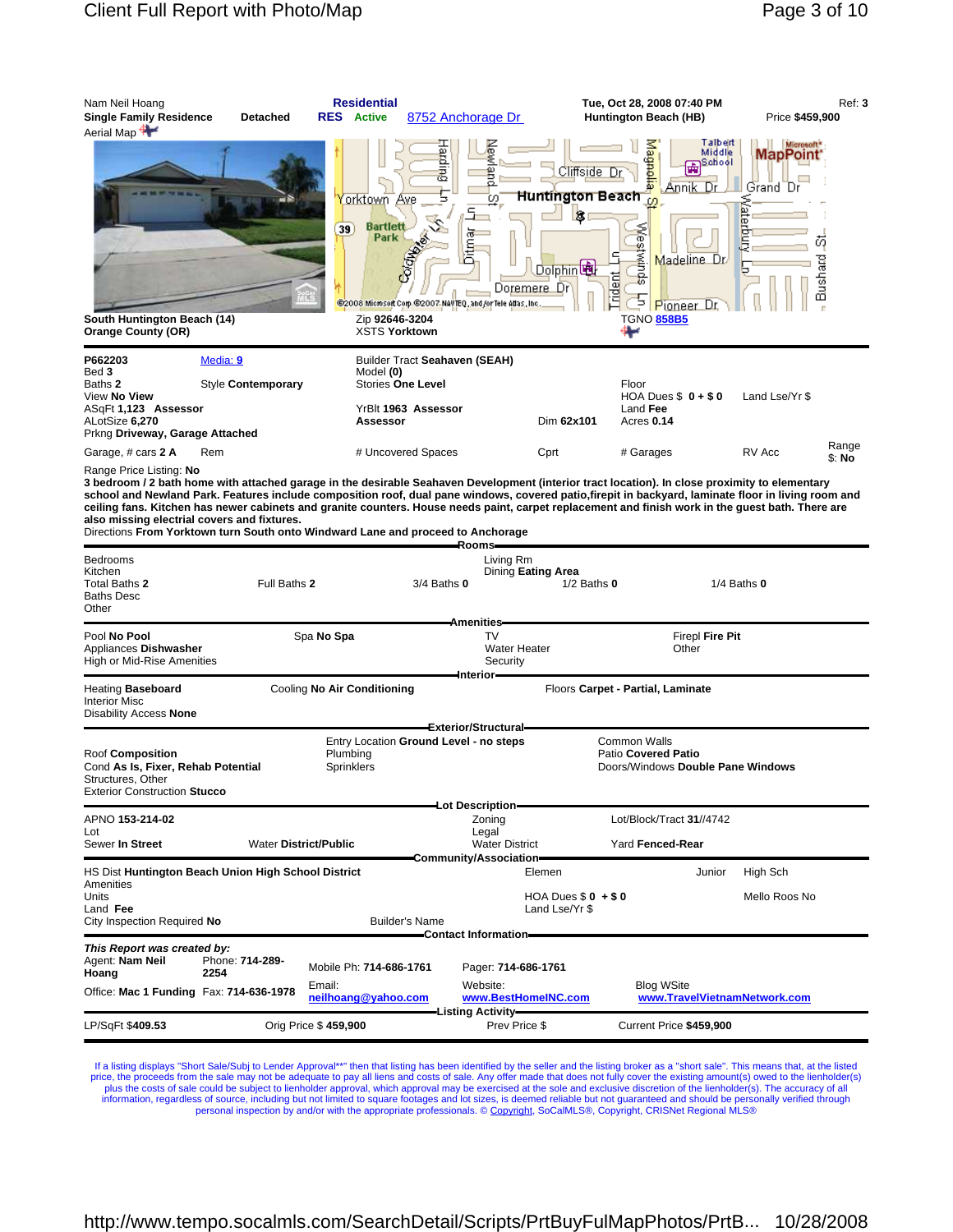| Nam Neil Hoang                                                                        |                                | <b>Residential</b>                                                                                                |                                                                                              | Tue, Oct 28, 2008 07:40 PM                                                                                                                        | Ref: 3                              |
|---------------------------------------------------------------------------------------|--------------------------------|-------------------------------------------------------------------------------------------------------------------|----------------------------------------------------------------------------------------------|---------------------------------------------------------------------------------------------------------------------------------------------------|-------------------------------------|
| <b>Single Family Residence</b>                                                        | <b>Detached</b>                | <b>RES</b> Active                                                                                                 | 8752 Anchorage Dr                                                                            | Huntington Beach (HB)                                                                                                                             | Price \$459,900                     |
| Aerial Map                                                                            |                                |                                                                                                                   | <b>Harbing</b>                                                                               | Talbert<br>Magnolia<br>Middle<br><b>Exp</b> School<br>Cliffside Dr                                                                                | Microsoft*<br><b>MapPoint</b>       |
| South Huntington Beach (14)<br><b>Orange County (OR)</b>                              |                                | orktown Ave<br><b>Bartlett</b><br>39<br>Park<br>$\mathcal{L}$<br>Colore<br>Zip 92646-3204<br><b>XSTS Yorktown</b> | ō.<br>c.<br>高<br>Doremere Dri<br>@2008 Microsoft Corp.@2007 NAVTEQ, and for Tele Atlas, Inc. | Annik Dr<br>Huntington Beach<br><b>is</b><br>œ<br>sputwit<br>Madeline Dr<br>Dolphin <sup>t</sup><br>rident<br>∍<br>Pioneer L<br><b>TGNO 858B5</b> | Grand Dr<br>鸟<br>B<br>Ú)<br>Bushard |
| P662203<br>Bed 3<br>Baths 2<br>View No View<br>ASqFt 1,123 Assessor<br>ALotSize 6,270 | Media: 9<br>Style Contemporary | Model (0)<br><b>Stories One Level</b><br>YrBlt 1963 Assessor<br>Assessor                                          | Builder Tract Seahaven (SEAH)                                                                | Floor<br>HOA Dues $$0 + $0$<br>Land Fee<br>Dim 62x101<br>Acres 0.14                                                                               | Land Lse/Yr \$                      |
| Prkng Driveway, Garage Attached                                                       |                                |                                                                                                                   |                                                                                              |                                                                                                                                                   |                                     |
| Garage, # cars 2 A                                                                    | Rem                            | # Uncovered Spaces                                                                                                |                                                                                              | Cprt<br># Garages                                                                                                                                 | Range<br>RV Acc<br>\$: No           |

Range Price Listing: **No**

**3 bedroom / 2 bath home with attached garage in the desirable Seahaven Development (interior tract location). In close proximity to elementary school and Newland Park. Features include composition roof, dual pane windows, covered patio,firepit in backyard, laminate floor in living room and ceiling fans. Kitchen has newer cabinets and granite counters. House needs paint, carpet replacement and finish work in the guest bath. There are also missing electrial covers and fixtures.**

Directions **From Yorktown turn South onto Windward Lane and proceed to Anchorage**

|                                                                                                                    |                         |                               |                                               | Rooms-                                                                   |                                            |                                                   |                 |  |
|--------------------------------------------------------------------------------------------------------------------|-------------------------|-------------------------------|-----------------------------------------------|--------------------------------------------------------------------------|--------------------------------------------|---------------------------------------------------|-----------------|--|
| <b>Bedrooms</b><br>Kitchen<br>Total Baths 2<br><b>Baths Desc</b><br>Other                                          |                         | Full Baths 2                  | $3/4$ Baths $0$                               | Living Rm<br>Dining Eating Area                                          | $1/2$ Baths $0$                            |                                                   | $1/4$ Baths $0$ |  |
|                                                                                                                    |                         |                               |                                               | <b>Amenities</b>                                                         |                                            |                                                   |                 |  |
| Pool No Pool<br>Appliances Dishwasher<br><b>High or Mid-Rise Amenities</b>                                         |                         | Spa No Spa                    |                                               | <b>TV</b><br>Firepl Fire Pit<br><b>Water Heater</b><br>Other<br>Security |                                            |                                                   |                 |  |
| Heating Baseboard<br><b>Interior Misc</b><br>Disability Access None                                                |                         | Cooling No Air Conditioning   |                                               | Interior-                                                                | Floors Carpet - Partial, Laminate          |                                                   |                 |  |
|                                                                                                                    |                         |                               |                                               | Exterior/Structural-                                                     |                                            |                                                   |                 |  |
| Roof Composition<br>Cond As Is, Fixer, Rehab Potential<br>Structures, Other<br><b>Exterior Construction Stucco</b> |                         | Plumbing<br>Sprinklers        | Entry Location Ground Level - no steps        |                                                                          | <b>Common Walls</b><br>Patio Covered Patio | Doors/Windows Double Pane Windows                 |                 |  |
|                                                                                                                    |                         |                               |                                               | Lot Description-                                                         |                                            |                                                   |                 |  |
| APNO 153-214-02                                                                                                    |                         |                               |                                               | Zoning                                                                   |                                            | Lot/Block/Tract 31//4742                          |                 |  |
| Lot<br>Sewer In Street                                                                                             |                         | <b>Water District/Public</b>  | Community/Association=                        | Legal<br><b>Water District</b><br>Yard Fenced-Rear                       |                                            |                                                   |                 |  |
| HS Dist Huntington Beach Union High School District<br><b>Amenities</b>                                            |                         |                               |                                               | Elemen                                                                   |                                            | Junior                                            | High Sch        |  |
| Units<br>Land Fee                                                                                                  |                         |                               |                                               | Land Lse/Yr \$                                                           | HOA Dues $$0 + $0$                         |                                                   | Mello Roos No   |  |
| City Inspection Required No                                                                                        |                         |                               | <b>Builder's Name</b><br>Contact Information- |                                                                          |                                            |                                                   |                 |  |
| This Report was created by:                                                                                        |                         |                               |                                               |                                                                          |                                            |                                                   |                 |  |
| Agent: Nam Neil<br>Hoang                                                                                           | Phone: 714-289-<br>2254 | Mobile Ph: 714-686-1761       |                                               | Pager: 714-686-1761                                                      |                                            |                                                   |                 |  |
| Office: Mac 1 Funding Fax: 714-636-1978                                                                            |                         | Email:<br>neilhoang@yahoo.com |                                               | Website:<br>www.BestHomeINC.com<br>-Listing Activity—                    |                                            | <b>Blog WSite</b><br>www.TravelVietnamNetwork.com |                 |  |
| LP/SqFt \$409.53                                                                                                   |                         | Orig Price \$459,900          |                                               | Prev Price \$                                                            |                                            | Current Price \$459,900                           |                 |  |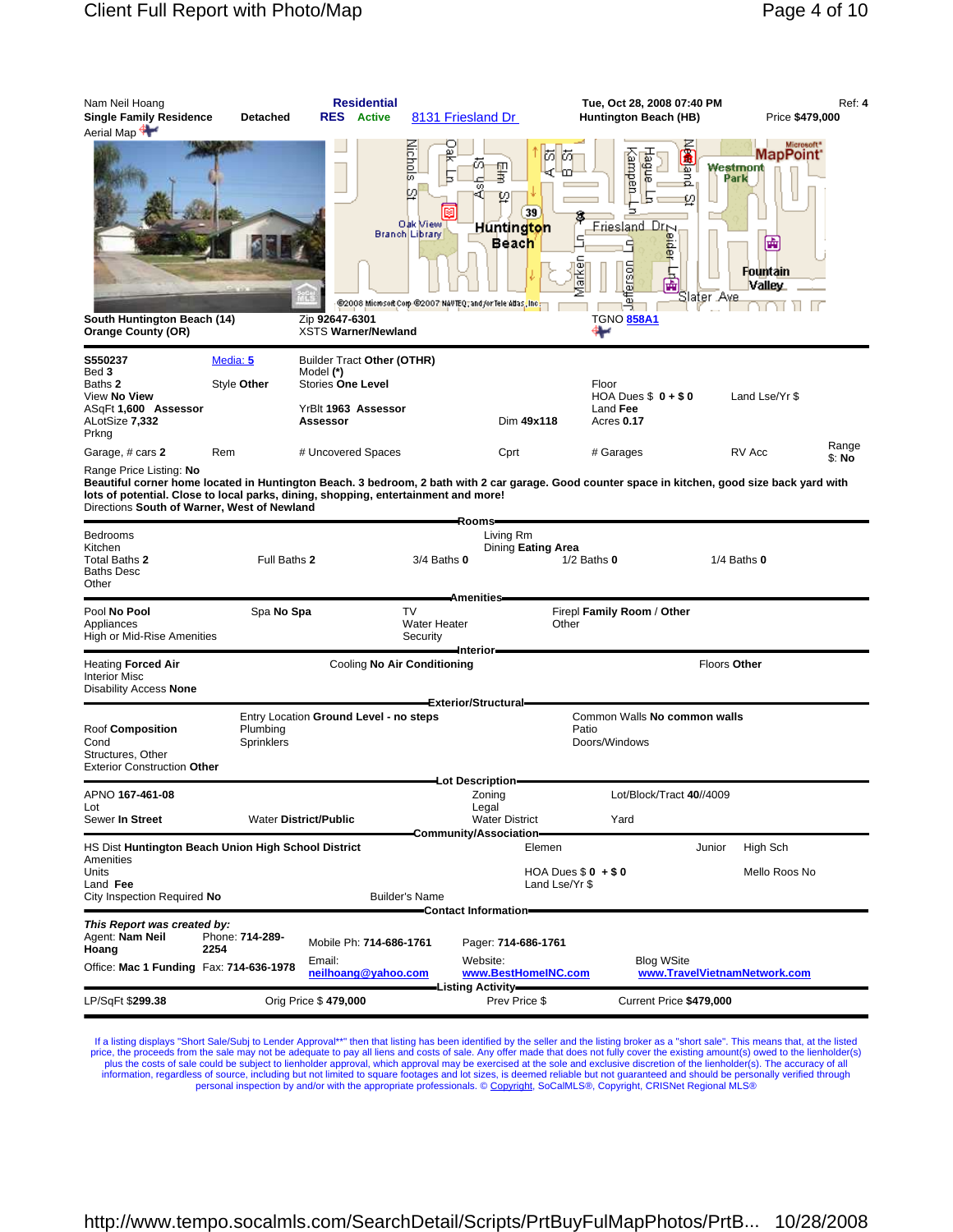| Nam Neil Hoang<br><b>Single Family Residence</b><br>Aerial Map                                                                                                                                                                                                                                                  | <b>Detached</b>         | <b>RES</b> Active                            | <b>Residential</b>      | 8131 Friesland Dr                     |                                                                                                                            |                                                    | Tue, Oct 28, 2008 07:40 PM<br>Huntington Beach (HB)                                                   | Price \$479,000                                                              | Ref: 4          |
|-----------------------------------------------------------------------------------------------------------------------------------------------------------------------------------------------------------------------------------------------------------------------------------------------------------------|-------------------------|----------------------------------------------|-------------------------|---------------------------------------|----------------------------------------------------------------------------------------------------------------------------|----------------------------------------------------|-------------------------------------------------------------------------------------------------------|------------------------------------------------------------------------------|-----------------|
| South Huntington Beach (14)<br><b>Orange County (OR)</b>                                                                                                                                                                                                                                                        |                         | Zip 92647-6301<br><b>XSTS Warner/Newland</b> | Branch Library          | <b>Viichols</b><br>Ø<br>Oak Miewi     | ŬΟ<br>ÚΟ<br>聖書<br>œ<br>φ<br>39<br>Huntington<br><b>Beach</b><br>@2008 Microsoft Corp-@2007 NAVTEQ, and /or Tele Adas, Inc. | m<br>arken<br>erson<br>頁<br><b>TGNO 858A1</b><br>⊶ | Ä<br><b>Hagu</b><br>dampen-<br>puer<br>ø<br>Friesland Dr <sub>N</sub><br>魯<br>全<br>Sla <u>ter Ave</u> | Microsoft*<br><b>MapPoint</b><br>Westmont<br>Park<br>匾<br>Fountain<br>Valley |                 |
| S550237                                                                                                                                                                                                                                                                                                         | Media: 5                | Builder Tract Other (OTHR)                   |                         |                                       |                                                                                                                            |                                                    |                                                                                                       |                                                                              |                 |
| Bed 3<br>Baths 2                                                                                                                                                                                                                                                                                                | Style Other             | Model (*)<br><b>Stories One Level</b>        |                         |                                       |                                                                                                                            | Floor                                              |                                                                                                       |                                                                              |                 |
| View No View<br>ASqFt 1,600 Assessor<br>ALotSize 7,332<br>Prkng                                                                                                                                                                                                                                                 |                         | YrBlt 1963 Assessor<br>Assessor              |                         |                                       | Dim 49x118                                                                                                                 | Land Fee<br>Acres 0.17                             | HOA Dues $$0 + $0$                                                                                    | Land Lse/Yr \$                                                               |                 |
| Garage, # cars 2                                                                                                                                                                                                                                                                                                | Rem                     | # Uncovered Spaces                           |                         |                                       | Cprt                                                                                                                       | # Garages                                          |                                                                                                       | RV Acc                                                                       | Range<br>\$: No |
| Range Price Listing: No<br>Beautiful corner home located in Huntington Beach. 3 bedroom, 2 bath with 2 car garage. Good counter space in kitchen, good size back yard with<br>lots of potential. Close to local parks, dining, shopping, entertainment and more!<br>Directions South of Warner, West of Newland |                         |                                              |                         |                                       |                                                                                                                            |                                                    |                                                                                                       |                                                                              |                 |
| Bedrooms<br>Kitchen<br>Total Baths 2<br>Baths Desc<br>Other                                                                                                                                                                                                                                                     | Full Baths 2            |                                              |                         | $3/4$ Baths $0$                       | Rooms-<br>Living Rm<br>Dining Eating Area                                                                                  | $1/2$ Baths $0$                                    |                                                                                                       | $1/4$ Baths $0$                                                              |                 |
| Pool No Pool<br>Appliances<br>High or Mid-Rise Amenities                                                                                                                                                                                                                                                        | Spa No Spa              |                                              |                         | <b>TV</b><br>Water Heater<br>Security | Amenities-<br>–Interior–                                                                                                   | Firepl Family Room / Other<br>Other                |                                                                                                       |                                                                              |                 |
| <b>Heating Forced Air</b><br><b>Interior Misc</b><br>Disability Access None                                                                                                                                                                                                                                     |                         |                                              |                         | Cooling No Air Conditioning           |                                                                                                                            |                                                    |                                                                                                       | Floors Other                                                                 |                 |
|                                                                                                                                                                                                                                                                                                                 |                         | Entry Location Ground Level - no steps       |                         |                                       | Exterior/Structural                                                                                                        |                                                    | Common Walls No common walls                                                                          |                                                                              |                 |
| Roof Composition<br>Cond<br>Structures, Other<br><b>Exterior Construction Other</b>                                                                                                                                                                                                                             | Plumbing<br>Sprinklers  |                                              |                         |                                       |                                                                                                                            | Patio<br>Doors/Windows                             |                                                                                                       |                                                                              |                 |
| APNO 167-461-08                                                                                                                                                                                                                                                                                                 |                         |                                              |                         |                                       | -Lot Description-<br>Zoning                                                                                                |                                                    | Lot/Block/Tract 40//4009                                                                              |                                                                              |                 |
| Lot<br>Sewer In Street                                                                                                                                                                                                                                                                                          |                         | <b>Water District/Public</b>                 |                         |                                       | Legal<br><b>Water District</b><br>Community/Association-                                                                   | Yard                                               |                                                                                                       |                                                                              |                 |
| HS Dist Huntington Beach Union High School District                                                                                                                                                                                                                                                             |                         |                                              |                         |                                       | Elemen                                                                                                                     |                                                    | Junior                                                                                                | High Sch                                                                     |                 |
| Amenities<br>Units<br>Land Fee<br>City Inspection Required No                                                                                                                                                                                                                                                   |                         |                                              | <b>Builder's Name</b>   |                                       | Land Lse/Yr \$                                                                                                             | HOA Dues $$0 + $0$                                 |                                                                                                       | Mello Roos No                                                                |                 |
|                                                                                                                                                                                                                                                                                                                 |                         |                                              |                         |                                       | Contact Information-                                                                                                       |                                                    |                                                                                                       |                                                                              |                 |
| This Report was created by:<br>Agent: Nam Neil<br>Hoang                                                                                                                                                                                                                                                         | Phone: 714-289-<br>2254 |                                              | Mobile Ph: 714-686-1761 |                                       | Pager: 714-686-1761                                                                                                        |                                                    |                                                                                                       |                                                                              |                 |
| Office: Mac 1 Funding Fax: 714-636-1978                                                                                                                                                                                                                                                                         |                         | Email:                                       | neilhoang@yahoo.com     |                                       | Website:<br>www.BestHomeINC.com                                                                                            |                                                    | <b>Blog WSite</b>                                                                                     | www.TravelVietnamNetwork.com                                                 |                 |
| LP/SqFt \$299.38                                                                                                                                                                                                                                                                                                |                         | Orig Price \$479,000                         |                         |                                       | Listing Activity=<br>Prev Price \$                                                                                         |                                                    | Current Price \$479,000                                                                               |                                                                              |                 |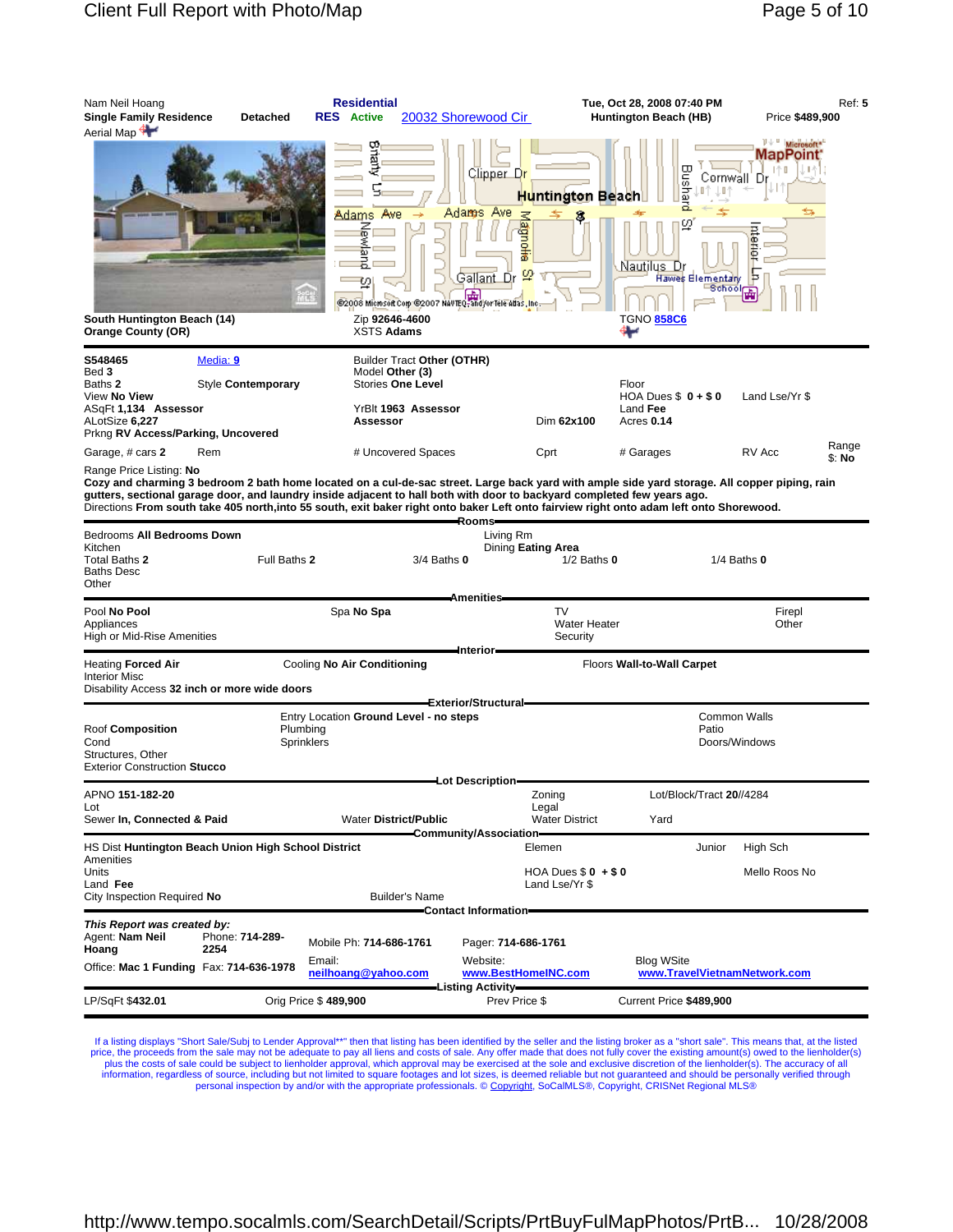| Microsoft*<br>MapPoint:<br><b>Bushard</b><br>千个日<br>Clipper Dr<br>Cornwall Dr<br>U.<br>Huntington Beach<br>Adams Ave<br>Awe<br><b>Adams</b><br>Ξ<br>ഗു<br>agno <del>ne</del><br>る<br>ntemer<br>w<br><u>Nautilus Dr</u><br>F<br>$\boldsymbol{\mathfrak{Q}}$<br>Gallant Dr<br>Hawes Elementary<br>⊟Schoolr<br><b>E2008 Microsoft Corp E2007 NAVTEL-And/or Tele Atlas. Inc.</b><br>South Huntington Beach (14)<br>Zip 92646-4600<br>TGNO <mark>858C6</mark><br><b>XSTS Adams</b><br>Orange County (OR)<br>⊷<br>Media: 9<br>Builder Tract Other (OTHR)<br>Bed 3<br>Model Other (3)<br>Style Contemporary<br><b>Stories One Level</b><br>Floor<br>HOA Dues $$0 + $0$<br>Land Lse/Yr \$<br>Land Fee<br>YrBlt 1963 Assessor<br>Assessor<br>Dim 62x100<br>Acres 0.14<br>Rem<br># Uncovered Spaces<br>RV Acc<br>Garage, # cars 2<br>Cprt<br># Garages<br>\$: No<br>Range Price Listing: <b>No</b><br>Cozy and charming 3 bedroom 2 bath home located on a cul-de-sac street. Large back yard with ample side yard storage. All copper piping, rain<br>gutters, sectional garage door, and laundry inside adjacent to hall both with door to backyard completed few years ago.<br>Directions From south take 405 north,into 55 south, exit baker right onto baker Left onto fairview right onto adam left onto Shorewood.<br>Rooms-<br>Bedrooms All Bedrooms Down<br>Living Rm<br>Kitchen<br>Dining Eating Area<br>Full Baths 2<br>$1/2$ Baths $0$<br>$1/4$ Baths $0$<br>3/4 Baths 0<br>Baths Desc<br>Other<br><b>Amenities</b><br>TV<br>Pool No Pool<br>Spa No Spa<br>Firepl<br><b>Water Heater</b><br>Other<br>Appliances<br>High or Mid-Rise Amenities<br>Security<br>Interior-<br>Heating <b>Forced Air</b><br>Cooling No Air Conditioning<br>Floors Wall-to-Wall Carpet<br>Disability Access 32 inch or more wide doors<br>Exterior/Structural<br><b>Common Walls</b><br>Entry Location Ground Level - no steps<br>Roof Composition<br>Patio<br>Plumbing<br>Sprinklers<br>Doors/Windows<br>Exterior Construction Stucco<br>Lot Description<br>Lot/Block/Tract 20//4284<br>Zoning<br>Legal<br>Lot<br><b>Water District/Public</b><br><b>Water District</b><br>Yard<br>-Community/Association-<br>HS Dist Huntington Beach Union High School District<br>High Sch<br>Elemen<br>Junior<br>HOA Dues $$0 + $0$<br>Mello Roos No<br>Land Fee<br>Land Lse/Yr \$<br><b>Builder's Name</b><br>–Contact Information– | Nam Neil Hoang<br><b>Single Family Residence</b><br>Aerial Map | Detached | <b>Residential</b><br><b>RES</b> Active | 20032 Shorewood Cir | Tue, Oct 28, 2008 07:40 PM<br>Huntington Beach (HB) | Price \$489,900 | <b>Ref: 5</b> |
|-------------------------------------------------------------------------------------------------------------------------------------------------------------------------------------------------------------------------------------------------------------------------------------------------------------------------------------------------------------------------------------------------------------------------------------------------------------------------------------------------------------------------------------------------------------------------------------------------------------------------------------------------------------------------------------------------------------------------------------------------------------------------------------------------------------------------------------------------------------------------------------------------------------------------------------------------------------------------------------------------------------------------------------------------------------------------------------------------------------------------------------------------------------------------------------------------------------------------------------------------------------------------------------------------------------------------------------------------------------------------------------------------------------------------------------------------------------------------------------------------------------------------------------------------------------------------------------------------------------------------------------------------------------------------------------------------------------------------------------------------------------------------------------------------------------------------------------------------------------------------------------------------------------------------------------------------------------------------------------------------------------------------------------------------------------------------------------------------------------------------------------------------------------------------------------------------------------------------------------------------------------------------------------------------------------------------------------------------------------------------------------------------------|----------------------------------------------------------------|----------|-----------------------------------------|---------------------|-----------------------------------------------------|-----------------|---------------|
| S548465<br>Baths 2<br>View No View<br>ASqFt 1,134 Assessor<br>ALotSize 6,227<br>Prkng RV Access/Parking, Uncovered                                                                                                                                                                                                                                                                                                                                                                                                                                                                                                                                                                                                                                                                                                                                                                                                                                                                                                                                                                                                                                                                                                                                                                                                                                                                                                                                                                                                                                                                                                                                                                                                                                                                                                                                                                                                                                                                                                                                                                                                                                                                                                                                                                                                                                                                                    |                                                                |          |                                         |                     |                                                     |                 |               |
|                                                                                                                                                                                                                                                                                                                                                                                                                                                                                                                                                                                                                                                                                                                                                                                                                                                                                                                                                                                                                                                                                                                                                                                                                                                                                                                                                                                                                                                                                                                                                                                                                                                                                                                                                                                                                                                                                                                                                                                                                                                                                                                                                                                                                                                                                                                                                                                                       |                                                                |          |                                         |                     |                                                     |                 |               |
|                                                                                                                                                                                                                                                                                                                                                                                                                                                                                                                                                                                                                                                                                                                                                                                                                                                                                                                                                                                                                                                                                                                                                                                                                                                                                                                                                                                                                                                                                                                                                                                                                                                                                                                                                                                                                                                                                                                                                                                                                                                                                                                                                                                                                                                                                                                                                                                                       |                                                                |          |                                         |                     |                                                     |                 | Range         |
| Total Baths 2<br><b>Interior Misc</b><br>Cond<br>Structures, Other<br>APNO 151-182-20<br>Sewer In, Connected & Paid<br>Amenities<br>Units<br>City Inspection Required No                                                                                                                                                                                                                                                                                                                                                                                                                                                                                                                                                                                                                                                                                                                                                                                                                                                                                                                                                                                                                                                                                                                                                                                                                                                                                                                                                                                                                                                                                                                                                                                                                                                                                                                                                                                                                                                                                                                                                                                                                                                                                                                                                                                                                              |                                                                |          |                                         |                     |                                                     |                 |               |
|                                                                                                                                                                                                                                                                                                                                                                                                                                                                                                                                                                                                                                                                                                                                                                                                                                                                                                                                                                                                                                                                                                                                                                                                                                                                                                                                                                                                                                                                                                                                                                                                                                                                                                                                                                                                                                                                                                                                                                                                                                                                                                                                                                                                                                                                                                                                                                                                       |                                                                |          |                                         |                     |                                                     |                 |               |
|                                                                                                                                                                                                                                                                                                                                                                                                                                                                                                                                                                                                                                                                                                                                                                                                                                                                                                                                                                                                                                                                                                                                                                                                                                                                                                                                                                                                                                                                                                                                                                                                                                                                                                                                                                                                                                                                                                                                                                                                                                                                                                                                                                                                                                                                                                                                                                                                       |                                                                |          |                                         |                     |                                                     |                 |               |
|                                                                                                                                                                                                                                                                                                                                                                                                                                                                                                                                                                                                                                                                                                                                                                                                                                                                                                                                                                                                                                                                                                                                                                                                                                                                                                                                                                                                                                                                                                                                                                                                                                                                                                                                                                                                                                                                                                                                                                                                                                                                                                                                                                                                                                                                                                                                                                                                       |                                                                |          |                                         |                     |                                                     |                 |               |
|                                                                                                                                                                                                                                                                                                                                                                                                                                                                                                                                                                                                                                                                                                                                                                                                                                                                                                                                                                                                                                                                                                                                                                                                                                                                                                                                                                                                                                                                                                                                                                                                                                                                                                                                                                                                                                                                                                                                                                                                                                                                                                                                                                                                                                                                                                                                                                                                       |                                                                |          |                                         |                     |                                                     |                 |               |
|                                                                                                                                                                                                                                                                                                                                                                                                                                                                                                                                                                                                                                                                                                                                                                                                                                                                                                                                                                                                                                                                                                                                                                                                                                                                                                                                                                                                                                                                                                                                                                                                                                                                                                                                                                                                                                                                                                                                                                                                                                                                                                                                                                                                                                                                                                                                                                                                       |                                                                |          |                                         |                     |                                                     |                 |               |
|                                                                                                                                                                                                                                                                                                                                                                                                                                                                                                                                                                                                                                                                                                                                                                                                                                                                                                                                                                                                                                                                                                                                                                                                                                                                                                                                                                                                                                                                                                                                                                                                                                                                                                                                                                                                                                                                                                                                                                                                                                                                                                                                                                                                                                                                                                                                                                                                       |                                                                |          |                                         |                     |                                                     |                 |               |
|                                                                                                                                                                                                                                                                                                                                                                                                                                                                                                                                                                                                                                                                                                                                                                                                                                                                                                                                                                                                                                                                                                                                                                                                                                                                                                                                                                                                                                                                                                                                                                                                                                                                                                                                                                                                                                                                                                                                                                                                                                                                                                                                                                                                                                                                                                                                                                                                       |                                                                |          |                                         |                     |                                                     |                 |               |
|                                                                                                                                                                                                                                                                                                                                                                                                                                                                                                                                                                                                                                                                                                                                                                                                                                                                                                                                                                                                                                                                                                                                                                                                                                                                                                                                                                                                                                                                                                                                                                                                                                                                                                                                                                                                                                                                                                                                                                                                                                                                                                                                                                                                                                                                                                                                                                                                       |                                                                |          |                                         |                     |                                                     |                 |               |
| This Report was created by:                                                                                                                                                                                                                                                                                                                                                                                                                                                                                                                                                                                                                                                                                                                                                                                                                                                                                                                                                                                                                                                                                                                                                                                                                                                                                                                                                                                                                                                                                                                                                                                                                                                                                                                                                                                                                                                                                                                                                                                                                                                                                                                                                                                                                                                                                                                                                                           |                                                                |          |                                         |                     |                                                     |                 |               |
| Agent: Nam Neil<br>Phone: 714-289-<br>Mobile Ph: 714-686-1761<br>Pager: 714-686-1761<br>Hoang<br>2254                                                                                                                                                                                                                                                                                                                                                                                                                                                                                                                                                                                                                                                                                                                                                                                                                                                                                                                                                                                                                                                                                                                                                                                                                                                                                                                                                                                                                                                                                                                                                                                                                                                                                                                                                                                                                                                                                                                                                                                                                                                                                                                                                                                                                                                                                                 |                                                                |          |                                         |                     |                                                     |                 |               |
| Website:<br><b>Blog WSite</b><br>Email:<br>Office: Mac 1 Funding Fax: 714-636-1978<br>neilhoang@yahoo.com<br>www.BestHomeINC.com<br>www.TravelVietnamNetwork.com                                                                                                                                                                                                                                                                                                                                                                                                                                                                                                                                                                                                                                                                                                                                                                                                                                                                                                                                                                                                                                                                                                                                                                                                                                                                                                                                                                                                                                                                                                                                                                                                                                                                                                                                                                                                                                                                                                                                                                                                                                                                                                                                                                                                                                      |                                                                |          |                                         |                     |                                                     |                 |               |
| Listing Activity—<br>Orig Price \$489,900<br>LP/SqFt \$432.01<br>Prev Price \$<br>Current Price \$489,900                                                                                                                                                                                                                                                                                                                                                                                                                                                                                                                                                                                                                                                                                                                                                                                                                                                                                                                                                                                                                                                                                                                                                                                                                                                                                                                                                                                                                                                                                                                                                                                                                                                                                                                                                                                                                                                                                                                                                                                                                                                                                                                                                                                                                                                                                             |                                                                |          |                                         |                     |                                                     |                 |               |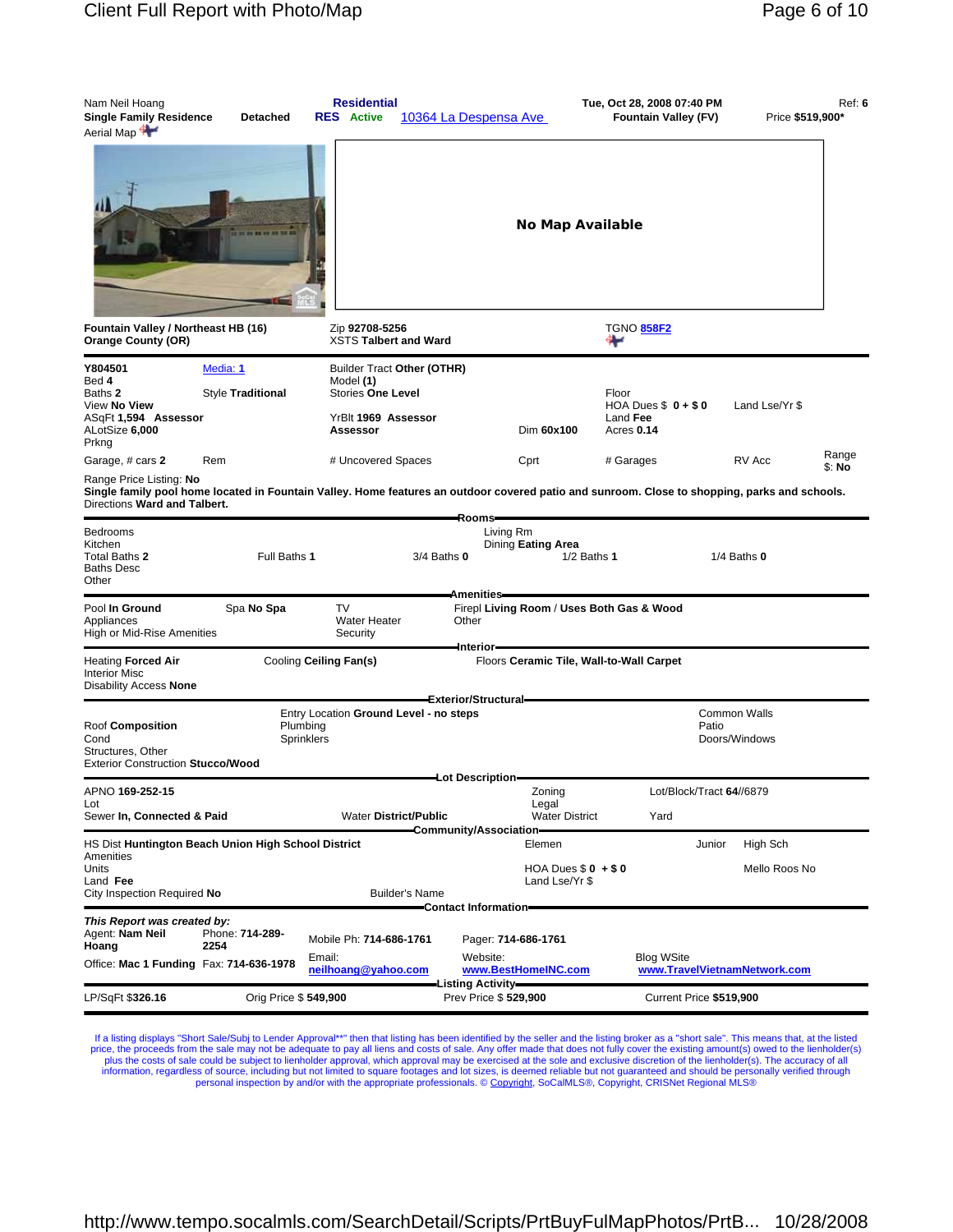| Aerial Map                                                                                                                                                                                                                                                                                                                         |                 |
|------------------------------------------------------------------------------------------------------------------------------------------------------------------------------------------------------------------------------------------------------------------------------------------------------------------------------------|-----------------|
| No Map Available                                                                                                                                                                                                                                                                                                                   |                 |
| Fountain Valley / Northeast HB (16)<br>Zip 92708-5256<br><b>TGNO 858F2</b><br>XSTS Talbert and Ward<br><b>Orange County (OR)</b><br>₩                                                                                                                                                                                              |                 |
| Y804501<br>Media: 1<br>Builder Tract Other (OTHR)<br>Bed 4<br>Model (1)<br>Style Traditional<br><b>Stories One Level</b><br>Floor<br>Baths 2<br>View No View<br>HOA Dues $$0 + $0$<br>Land Lse/Yr \$<br>ASqFt 1,594 Assessor<br>Land Fee<br>YrBlt 1969 Assessor<br>ALotSize 6,000<br>Dim 60x100<br>Assessor<br>Acres 0.14<br>Prkng |                 |
| # Uncovered Spaces<br>RV Acc<br>Garage, # cars 2<br>Rem<br>Cprt<br># Garages<br>Range Price Listing: No<br>Single family pool home located in Fountain Valley. Home features an outdoor covered patio and sunroom. Close to shopping, parks and schools.<br>Directions Ward and Talbert.                                           | Range<br>\$: No |
| Rooms-<br>Bedrooms<br>Living Rm<br>Kitchen<br>Dining Eating Area<br>Full Baths 1<br>$3/4$ Baths $0$<br>$1/2$ Baths 1<br>$1/4$ Baths $0$<br>Total Baths 2<br>Baths Desc<br>Other                                                                                                                                                    |                 |
| Amenities-<br><b>TV</b><br>Pool In Ground<br>Spa No Spa<br>Firepl Living Room / Uses Both Gas & Wood<br>Water Heater<br>Other<br>Appliances<br>High or Mid-Rise Amenities<br>Security                                                                                                                                              |                 |
| Interior<br>Heating Forced Air<br>Cooling Ceiling Fan(s)<br>Floors Ceramic Tile, Wall-to-Wall Carpet<br>Interior Misc<br>Disability Access None                                                                                                                                                                                    |                 |
| <b>Exterior/Structural-</b><br><b>Common Walls</b><br>Entry Location Ground Level - no steps                                                                                                                                                                                                                                       |                 |
| Plumbing<br>Roof Composition<br>Patio<br>Cond<br>Sprinklers<br>Doors/Windows<br>Structures, Other<br>Exterior Construction Stucco/Wood                                                                                                                                                                                             |                 |
| -Lot Description-                                                                                                                                                                                                                                                                                                                  |                 |
| APNO <b>169-252-15</b><br>Zoning<br>Lot/Block/Tract 64//6879<br>Legal<br>Lot<br>Sewer In, Connected & Paid<br><b>Water District/Public</b><br><b>Water District</b><br>Yard<br>Community/Association                                                                                                                               |                 |
| HS Dist Huntington Beach Union High School District<br>High Sch<br>Elemen<br>Junior                                                                                                                                                                                                                                                |                 |
| Amenities<br>HOA Dues $$0 + $0$<br>Mello Roos No<br>Units<br>Land Fee<br>Land Lse/Yr \$<br>City Inspection Required No<br><b>Builder's Name</b>                                                                                                                                                                                    |                 |
| <b>Contact Information</b>                                                                                                                                                                                                                                                                                                         |                 |
| This Report was created by:<br>Agent: <b>Nam Neil</b><br>Phone: 714-289-<br>Mobile Ph: 714-686-1761<br>Pager: 714-686-1761<br>Hoang<br>2254                                                                                                                                                                                        |                 |
| Website:<br><b>Blog WSite</b><br>Email:<br>Office: Mac 1 Funding Fax: 714-636-1978<br>neilhoang@yahoo.com<br>www.BestHomeINC.com<br>www.TravelVietnamNetwork.com                                                                                                                                                                   |                 |
| <b>Listing Activity-</b><br>LP/SqFt \$326.16<br>Orig Price \$ 549,900<br>Prev Price \$529,900<br>Current Price \$519,900                                                                                                                                                                                                           |                 |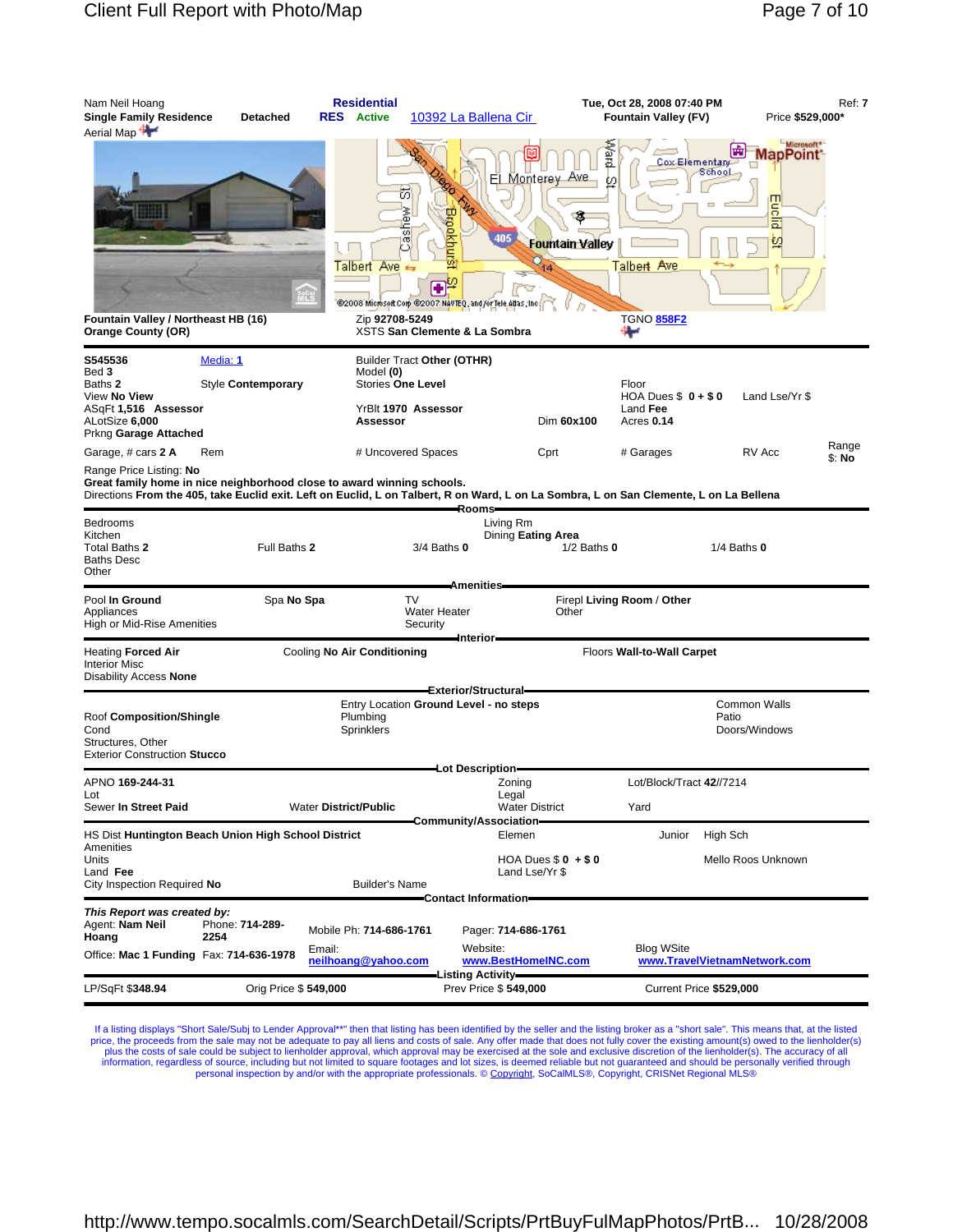| Nam Neil Hoang<br><b>Single Family Residence</b><br><b>Detached</b><br>Aerial Map                                                                                                                                                                                        | <b>Residential</b><br><b>Active</b><br><b>RES</b>        | 10392 La Ballena Cir                                                                                                                             |                                                                     | Tue, Oct 28, 2008 07:40 PM<br><b>Fountain Valley (FV)</b>              | Ref: 7<br>Price \$529,000*                                                 |
|--------------------------------------------------------------------------------------------------------------------------------------------------------------------------------------------------------------------------------------------------------------------------|----------------------------------------------------------|--------------------------------------------------------------------------------------------------------------------------------------------------|---------------------------------------------------------------------|------------------------------------------------------------------------|----------------------------------------------------------------------------|
| Fountain Valley / Northeast HB (16)<br><b>Orange County (OR)</b>                                                                                                                                                                                                         | <b>Talbert Ave</b><br>Zip 92708-5249                     | ы<br>inew<br>⊾<br><b>Espokhu</b><br>이<br>σ<br>£,<br>@2008 Microsoft Corp @2007 NAVTEQ, and /or Tele Allas, Inc.<br>XSTS San Clemente & La Sombra | El<br>Ave<br><b>Monterey</b><br>405<br><b>Fountain Valley</b><br>14 | preyer<br>Cox Elementary<br>ω<br>Talbert Ave<br><b>TGNO 858F2</b><br>₩ | Microsoft <sup>*-</sup><br>lapPoint <sup>-</sup><br>School<br>Euclid<br>ŧΩ |
| S545536<br>Media: 1<br>Bed 3<br>Style Contemporary<br>Baths 2<br>View No View<br>ASqFt 1,516 Assessor<br>ALotSize 6,000<br>Prkng Garage Attached                                                                                                                         | Model (0)<br>Assessor                                    | Builder Tract Other (OTHR)<br><b>Stories One Level</b><br>YrBlt 1970 Assessor                                                                    | Dim 60x100                                                          | Floor<br>HOA Dues $$0 + $0$<br>Land Fee<br>Acres 0.14                  | Land Lse/Yr \$                                                             |
| Garage, # cars 2 A<br>Rem<br>Range Price Listing: No<br>Great family home in nice neighborhood close to award winning schools.<br>Directions From the 405, take Euclid exit. Left on Euclid, L on Talbert, R on Ward, L on La Sombra, L on San Clemente, L on La Bellena |                                                          | # Uncovered Spaces                                                                                                                               | Cprt                                                                | # Garages                                                              | Range<br>RV Acc<br>\$: No                                                  |
| Bedrooms<br>Kitchen<br>Total Baths 2<br><b>Baths Desc</b><br>Other                                                                                                                                                                                                       | Full Baths 2                                             | -Rooms-<br>$3/4$ Baths $0$                                                                                                                       | Living Rm<br>Dining Eating Area<br>$1/2$ Baths $0$                  |                                                                        | $1/4$ Baths $0$                                                            |
| Pool In Ground<br>Appliances<br>High or Mid-Rise Amenities                                                                                                                                                                                                               | Spa No Spa                                               | <b>Amenities</b><br>TV<br>Water Heater<br>Security                                                                                               | Other                                                               | Firepl Living Room / Other                                             |                                                                            |
| <b>Heating Forced Air</b><br><b>Interior Misc</b><br>Disability Access None                                                                                                                                                                                              | Cooling No Air Conditioning                              | Interior                                                                                                                                         |                                                                     | Floors Wall-to-Wall Carpet                                             |                                                                            |
| Roof Composition/Shingle<br>Cond<br>Structures, Other<br><b>Exterior Construction Stucco</b>                                                                                                                                                                             | Plumbing<br>Sprinklers                                   | Exterior/Structural=<br>Entry Location Ground Level - no steps                                                                                   |                                                                     |                                                                        | <b>Common Walls</b><br>Patio<br>Doors/Windows                              |
| APNO 169-244-31<br>Lot<br>Sewer In Street Paid                                                                                                                                                                                                                           | <b>Water District/Public</b>                             | -Lot Description-                                                                                                                                | Zoning<br>Legal<br><b>Water District</b>                            | Lot/Block/Tract 42//7214<br>Yard                                       |                                                                            |
| HS Dist Huntington Beach Union High School District<br>Amenities<br>Units<br>Land Fee<br>City Inspection Required No                                                                                                                                                     | <b>Builder's Name</b>                                    | Community/Association                                                                                                                            | Elemen<br>HOA Dues $$0 + $0$<br>Land Lse/Yr \$                      | Junior                                                                 | High Sch<br>Mello Roos Unknown                                             |
| This Report was created by:<br>Agent: Nam Neil<br>Phone: 714-289-<br>2254<br>Hoang<br>Office: Mac 1 Funding Fax: 714-636-1978                                                                                                                                            | Mobile Ph: 714-686-1761<br>Email:<br>neilhoang@yahoo.com | Contact Information=<br>Website:                                                                                                                 | Pager: 714-686-1761<br>www.BestHomeINC.com                          | <b>Blog WSite</b>                                                      | www.TravelVietnamNetwork.com                                               |
| LP/SqFt \$348.94                                                                                                                                                                                                                                                         | Orig Price \$549,000                                     | Listing Activity-                                                                                                                                | Prev Price \$549,000                                                | Current Price \$529,000                                                |                                                                            |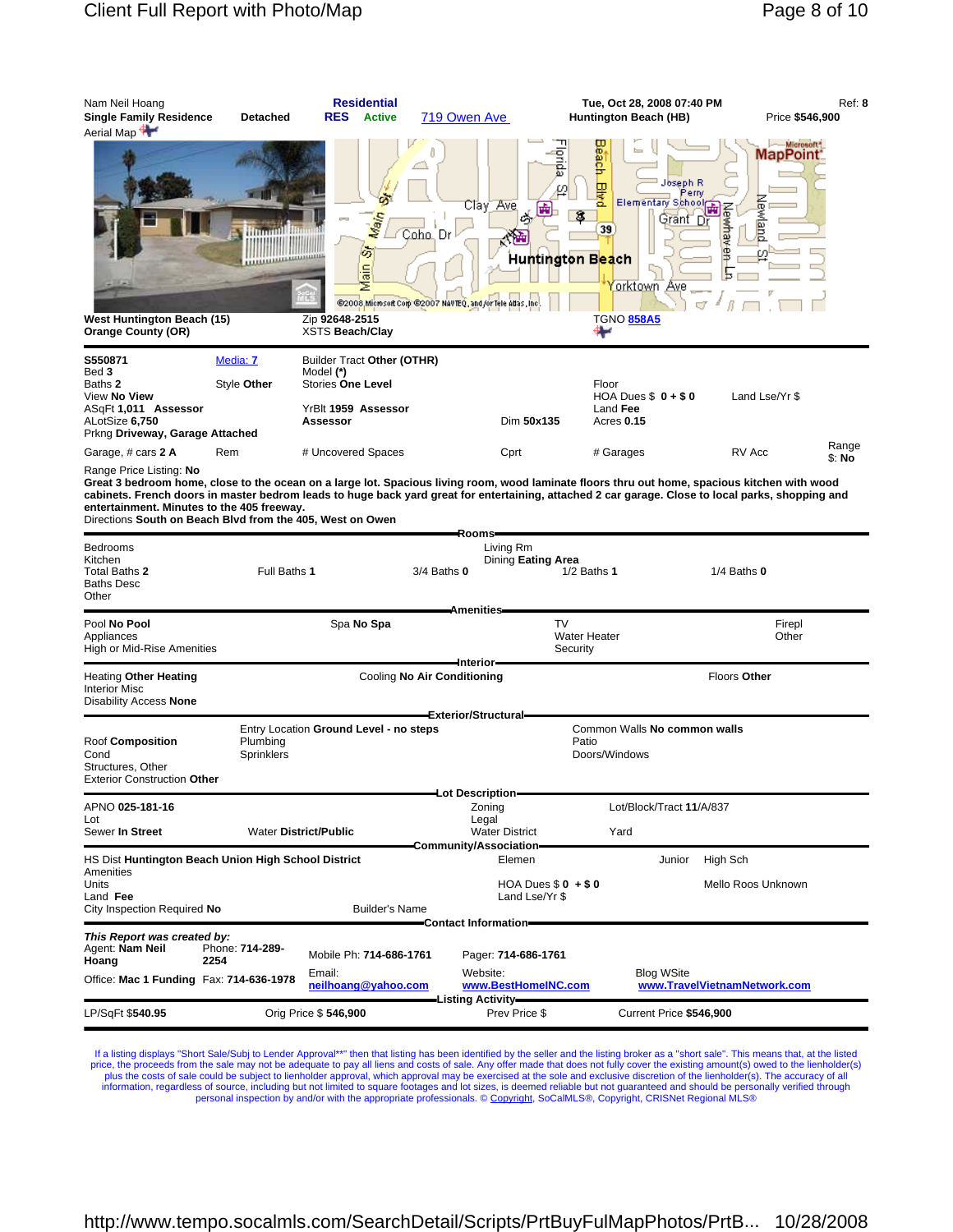| Nam Neil Hoang<br><b>Single Family Residence</b><br>Aerial Map                                                                                                                                                                                                                                                                                                                                                                           | <b>Detached</b>                                                  | <b>RES</b>                                        | <b>Residential</b><br><b>Active</b>               | 719 Owen Ave                                                            |                                                            | Tue, Oct 28, 2008 07:40 PM<br>Huntington Beach (HB)                          |                                                    |                                 | Ref: 8<br>Price \$546,900 |
|------------------------------------------------------------------------------------------------------------------------------------------------------------------------------------------------------------------------------------------------------------------------------------------------------------------------------------------------------------------------------------------------------------------------------------------|------------------------------------------------------------------|---------------------------------------------------|---------------------------------------------------|-------------------------------------------------------------------------|------------------------------------------------------------|------------------------------------------------------------------------------|----------------------------------------------------|---------------------------------|---------------------------|
| West Huntington Beach (15)<br><b>Orange County (OR)</b>                                                                                                                                                                                                                                                                                                                                                                                  | <u>mminimuminimu</u>                                             | Zip 92648-2515<br><b>XSTS Beach/Clay</b>          | Main<br>6<br>Main                                 | Coho, Dr<br>@2008 Microsoft Corp @2007 NAVTEQ, and /or Tele Atlas, Inc. | Ξ<br>Ø<br>Claγ Ave<br>庵<br>Huntington B <mark>ea</mark> ch | Beach<br><b>Bired</b><br>39<br><u>orktown Av</u> e<br><b>TGNO 858A5</b><br>₩ | Joseph R<br>Perry<br>Elementary School<br>Grant Dr | MapPoint:<br><b>ewland</b><br>叐 | Microsoft*                |
|                                                                                                                                                                                                                                                                                                                                                                                                                                          |                                                                  |                                                   |                                                   |                                                                         |                                                            |                                                                              |                                                    |                                 |                           |
| S550871<br>Bed 3<br>Baths 2<br>View No View<br>ASqFt 1,011 Assessor<br>ALotSize 6,750<br>Prkng Driveway, Garage Attached                                                                                                                                                                                                                                                                                                                 | Media: 7<br>Style Other                                          | Model (*)<br><b>Stories One Level</b><br>Assessor | Builder Tract Other (OTHR)<br>YrBlt 1959 Assessor |                                                                         | Dim 50x135                                                 | Floor<br>HOA Dues $$0 + $0$<br>Land Fee<br>Acres 0.15                        |                                                    | Land Lse/Yr \$                  |                           |
| Garage, # cars 2 A                                                                                                                                                                                                                                                                                                                                                                                                                       | Rem                                                              |                                                   | # Uncovered Spaces                                |                                                                         | Cprt                                                       | # Garages                                                                    |                                                    | RV Acc                          | Range<br>\$: No           |
| Range Price Listing: No<br>Great 3 bedroom home, close to the ocean on a large lot. Spacious living room, wood laminate floors thru out home, spacious kitchen with wood<br>cabinets. French doors in master bedrom leads to huge back yard great for entertaining, attached 2 car garage. Close to local parks, shopping and<br>entertainment. Minutes to the 405 freeway.<br>Directions South on Beach Blvd from the 405, West on Owen |                                                                  |                                                   |                                                   | Rooms-                                                                  |                                                            |                                                                              |                                                    |                                 |                           |
| Bedrooms<br>Kitchen<br>Total Baths 2<br>Baths Desc<br>Other                                                                                                                                                                                                                                                                                                                                                                              | Full Baths 1                                                     |                                                   |                                                   | $3/4$ Baths $0$<br>Amenities-                                           | Living Rm<br>Dining Eating Area                            | $1/2$ Baths $1$                                                              |                                                    | $1/4$ Baths $0$                 |                           |
| Pool No Pool<br>Appliances<br>High or Mid-Rise Amenities                                                                                                                                                                                                                                                                                                                                                                                 |                                                                  |                                                   | Spa No Spa                                        |                                                                         | TV                                                         | <b>Water Heater</b><br>Security                                              |                                                    | Firepl<br>Other                 |                           |
| Heating <b>Other Heating</b><br>Interior Misc<br>Disability Access None                                                                                                                                                                                                                                                                                                                                                                  |                                                                  |                                                   |                                                   | –Interior–<br>Cooling No Air Conditioning                               |                                                            |                                                                              |                                                    | Floors Other                    |                           |
| Roof Composition<br>Cond<br>Structures, Other<br>Exterior Construction Other                                                                                                                                                                                                                                                                                                                                                             | Entry Location Ground Level - no steps<br>Plumbing<br>Sprinklers |                                                   |                                                   | Exterior/Structural-                                                    |                                                            | Common Walls No common walls<br>Patio<br>Doors/Windows                       |                                                    |                                 |                           |
| APNO 025-181-16                                                                                                                                                                                                                                                                                                                                                                                                                          |                                                                  |                                                   |                                                   | Lot Description-<br>Zoning                                              |                                                            |                                                                              | Lot/Block/Tract 11/A/837                           |                                 |                           |
| Lot<br>Sewer In Street                                                                                                                                                                                                                                                                                                                                                                                                                   | <b>Water District/Public</b>                                     |                                                   |                                                   | Legal                                                                   | <b>Water District</b>                                      | Yard                                                                         |                                                    |                                 |                           |
| HS Dist Huntington Beach Union High School District                                                                                                                                                                                                                                                                                                                                                                                      |                                                                  |                                                   |                                                   | Community/Association                                                   | Elemen                                                     |                                                                              | Junior                                             | High Sch                        |                           |
| Amenities<br>Units<br>Land Fee<br>City Inspection Required No                                                                                                                                                                                                                                                                                                                                                                            |                                                                  |                                                   | <b>Builder's Name</b>                             | <b>Contact Information-</b>                                             | HOA Dues $$0 + $0$<br>Land Lse/Yr \$                       |                                                                              |                                                    | Mello Roos Unknown              |                           |
| This Report was created by:<br>Agent: Nam Neil<br>Hoang<br>2254<br>Office: Mac 1 Funding Fax: 714-636-1978                                                                                                                                                                                                                                                                                                                               | Phone: 714-289-                                                  | Email:                                            | Mobile Ph: 714-686-1761<br>neilhoang@yahoo.com    | Website:                                                                | Pager: 714-686-1761<br>www.BestHomeINC.com                 |                                                                              | <b>Blog WSite</b>                                  | www.TravelVietnamNetwork.com    |                           |
| LP/SqFt \$540.95                                                                                                                                                                                                                                                                                                                                                                                                                         | Orig Price \$546,900                                             |                                                   |                                                   | Listing Activity-                                                       | Prev Price \$                                              |                                                                              | Current Price \$546,900                            |                                 |                           |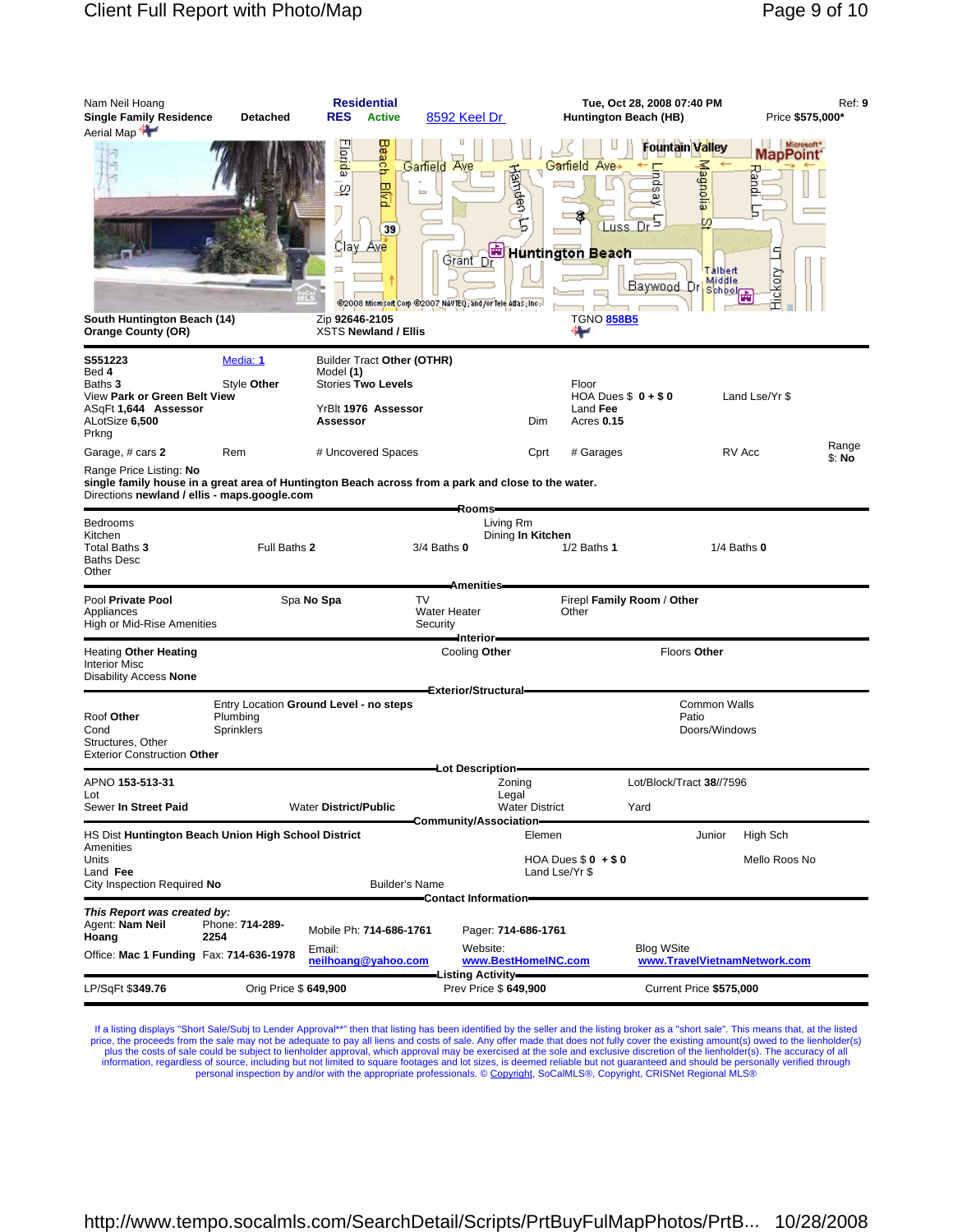| Nam Neil Hoang<br><b>Single Family Residence</b><br>Aerial Map                                                                                                                                    | Detached                      | <b>Residential</b><br><b>RES</b><br><b>Active</b>                                                                   | 8592 Keel Dr                                                                                    |                                                         | Tue, Oct 28, 2008 07:40 PM<br>Huntington Beach (HB)                                                        |                                               | Ref: 9<br>Price \$575,000*                                                            |
|---------------------------------------------------------------------------------------------------------------------------------------------------------------------------------------------------|-------------------------------|---------------------------------------------------------------------------------------------------------------------|-------------------------------------------------------------------------------------------------|---------------------------------------------------------|------------------------------------------------------------------------------------------------------------|-----------------------------------------------|---------------------------------------------------------------------------------------|
| South Huntington Beach (14)<br><b>Orange County (OR)</b>                                                                                                                                          |                               | Beach<br>lorida<br><b>BMd</b><br>⊋<br>ŋ<br>39<br>Clay_<br>Ave<br>戸<br>Zip 92646-2105<br><b>XSTS Newland / Ellis</b> | Ave<br>Garfield<br>画<br>Grant Dr<br>@2008 Microsoft Corp @2007 NAVTEQ, and /or Tele Atlas, Inc. | Garfield Ave+<br>Handen<br><b>Huntington Beach</b><br>⊷ | Fountain Valley<br>Linds<br>ω<br>×<br>$\overline{Dr}^5$<br>Luss.<br>Baywood Dr School<br><b>TGNO 858B5</b> | Magnolia<br>m<br>Talbert                      | Microsoft <sup>*</sup><br>MapPoint <sup>®</sup><br>ᄑ<br>pue;<br>ь<br>٩<br>ğ<br>o<br>迀 |
| S551223<br>Bed 4<br>Baths <b>3</b><br>View Park or Green Belt View<br>ASqFt 1,644 Assessor<br>ALotSize 6,500<br>Prkng                                                                             | Media: 1<br>Style Other       | Builder Tract Other (OTHR)<br>Model (1)<br><b>Stories Two Levels</b><br>YrBlt 1976 Assessor<br>Assessor             |                                                                                                 | Floor<br>Dim                                            | HOA Dues $$0 + $0$<br>Land Fee<br>Acres 0.15                                                               |                                               | Land Lse/Yr \$                                                                        |
| Garage, # cars 2<br>Range Price Listing: No<br>single family house in a great area of Huntington Beach across from a park and close to the water.<br>Directions newland / ellis - maps.google.com | Rem                           | # Uncovered Spaces                                                                                                  |                                                                                                 | Cprt                                                    | # Garages                                                                                                  | RV Acc                                        | Range<br>\$: No                                                                       |
| Bedrooms<br>Kitchen<br>Total Baths 3<br>Baths Desc<br>Other                                                                                                                                       | Full Baths 2                  |                                                                                                                     | -Rooms-<br>Living Rm<br>$3/4$ Baths $0$                                                         | Dining In Kitchen                                       | $1/2$ Baths 1                                                                                              | $1/4$ Baths $0$                               |                                                                                       |
| Pool Private Pool<br>Appliances<br>High or Mid-Rise Amenities                                                                                                                                     | Spa No Spa                    |                                                                                                                     | <b>Amenities</b><br><b>TV</b><br>Water Heater<br>Security                                       | Other                                                   | Firepl Family Room / Other                                                                                 |                                               |                                                                                       |
| Heating Other Heating<br>Interior Misc<br>Disability Access None                                                                                                                                  |                               |                                                                                                                     | -Interior-<br>Cooling Other                                                                     |                                                         |                                                                                                            | Floors Other                                  |                                                                                       |
| Roof Other<br>Cond<br>Structures, Other<br>Exterior Construction Other                                                                                                                            | Plumbing<br><b>Sprinklers</b> | Entry Location Ground Level - no steps                                                                              | Exterior/Structural-                                                                            |                                                         |                                                                                                            | <b>Common Walls</b><br>Patio<br>Doors/Windows |                                                                                       |
| APNO <b>153-513-31</b>                                                                                                                                                                            |                               |                                                                                                                     | Lot Description=                                                                                | Zoning                                                  | Lot/Block/Tract 38//7596                                                                                   |                                               |                                                                                       |
| Lot<br>Sewer In Street Paid                                                                                                                                                                       |                               | <b>Water District/Public</b>                                                                                        | Community/Association=                                                                          | Legal<br><b>Water District</b>                          | Yard                                                                                                       |                                               |                                                                                       |
| HS Dist Huntington Beach Union High School District<br>Amenities<br>Units<br>Land Fee<br>City Inspection Required No                                                                              |                               | <b>Builder's Name</b>                                                                                               |                                                                                                 | Elemen<br>HOA Dues $$0 + $0$<br>Land Lse/Yr \$          |                                                                                                            | Junior                                        | High Sch<br>Mello Roos No                                                             |
| This Report was created by:                                                                                                                                                                       |                               |                                                                                                                     | Contact Information-                                                                            |                                                         |                                                                                                            |                                               |                                                                                       |
| Agent: <b>Nam Neil</b><br>Hoang<br>Office: Mac 1 Funding Fax: 714-636-1978                                                                                                                        | Phone: 714-289-<br>2254       | Mobile Ph: 714-686-1761<br>Email:<br>neilhoang@yahoo.com                                                            | Website:                                                                                        | Pager: 714-686-1761<br>www.BestHomeINC.com              | <b>Blog WSite</b>                                                                                          | www.TravelVietnamNetwork.com                  |                                                                                       |
|                                                                                                                                                                                                   |                               |                                                                                                                     | -Listing Activity–                                                                              |                                                         |                                                                                                            |                                               |                                                                                       |
| LP/SqFt \$349.76                                                                                                                                                                                  | Orig Price \$649,900          |                                                                                                                     | Prev Price \$649,900                                                                            |                                                         |                                                                                                            | Current Price \$575,000                       |                                                                                       |